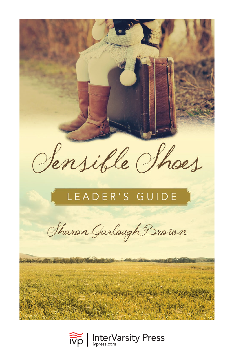

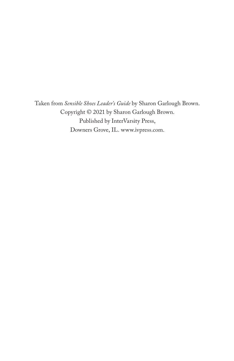Taken from *Sensible Shoes Leader's Guide* by Sharon Garlough Brown. Copyright © 2021 by Sharon Garlough Brown. Published by InterVarsity Press, Downers Grove, IL. [www.ivpress.com.](https://www.ivpress.com)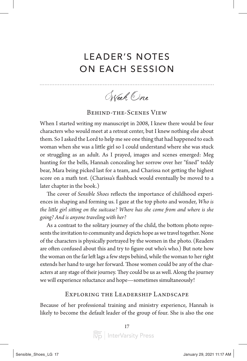# LEADER'S NOTES ON EACH SESSION

Week One

### Behind-the-Scenes View

When I started writing my manuscript in 2008, I knew there would be four characters who would meet at a retreat center, but I knew nothing else about them. So I asked the Lord to help me see one thing that had happened to each woman when she was a little girl so I could understand where she was stuck or struggling as an adult. As I prayed, images and scenes emerged: Meg hunting for the bells, Hannah concealing her sorrow over her "fixed" teddy bear, Mara being picked last for a team, and Charissa not getting the highest score on a math test. (Charissa's flashback would eventually be moved to a later chapter in the book.)

The cover of *Sensible Shoes* reflects the importance of childhood experiences in shaping and forming us. I gaze at the top photo and wonder, *Who is the little girl sitting on the suitcase? Where has she come from and where is she going? And is anyone traveling with her?*

As a contrast to the solitary journey of the child, the bottom photo represents the invitation to community and depicts hope as we travel together. None of the characters is physically portrayed by the women in the photo. (Readers are often confused about this and try to figure out who's who.) But note how the woman on the far left lags a few steps behind, while the woman to her right extends her hand to urge her forward. Those women could be any of the characters at any stage of their journey. They could be us as well. Along the journey we will experience reluctance and hope—sometimes simultaneously!

### Exploring the Leadership Landscape

Because of her professional training and ministry experience, Hannah is likely to become the default leader of the group of four. She is also the one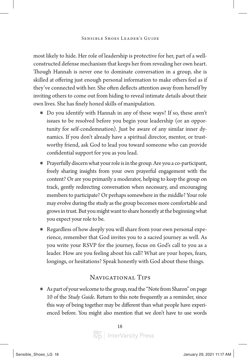most likely to hide. Her role of leadership is protective for her, part of a wellconstructed defense mechanism that keeps her from revealing her own heart. Though Hannah is never one to dominate conversation in a group, she is skilled at offering just enough personal information to make others feel as if they've connected with her. She often deflects attention away from herself by inviting others to come out from hiding to reveal intimate details about their own lives. She has finely honed skills of manipulation.

- \* Do you identify with Hannah in any of these ways? If so, these aren't issues to be resolved before you begin your leadership (or an opportunity for self-condemnation). Just be aware of any similar inner dynamics. If you don't already have a spiritual director, mentor, or trustworthy friend, ask God to lead you toward someone who can provide confidential support for you as you lead.
- \* Prayerfully discern what your role is in the group. Are you a co-participant, freely sharing insights from your own prayerful engagement with the content? Or are you primarily a moderator, helping to keep the group on track, gently redirecting conversation when necessary, and encouraging members to participate? Or perhaps somewhere in the middle? Your role may evolve during the study as the group becomes more comfortable and grows in trust. But you might want to share honestly at the beginning what you expect your role to be.
- \* Regardless of how deeply you will share from your own personal experience, remember that God invites you to a sacred journey as well. As you write your RSVP for the journey, focus on God's call to you as a leader. How are you feeling about his call? What are your hopes, fears, longings, or hesitations? Speak honestly with God about these things.

## NAVIGATIONAL TIPS

\* As part of your welcome to the group, read the "Note from Sharon" on page 10 of the *Study Guide*. Return to this note frequently as a reminder, since this way of being together may be different than what people have experienced before. You might also mention that we don't have to use words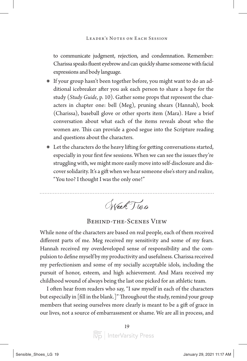to communicate judgment, rejection, and condemnation. Remember: Charissa speaks fluent eyebrow and can quickly shame someone with facial expressions and body language.

- \* If your group hasn't been together before, you might want to do an additional icebreaker after you ask each person to share a hope for the study (*Study Guide*, p. 10). Gather some props that represent the characters in chapter one: bell (Meg), pruning shears (Hannah), book (Charissa), baseball glove or other sports item (Mara). Have a brief conversation about what each of the items reveals about who the women are. This can provide a good segue into the Scripture reading and questions about the characters.
- \* Let the characters do the heavy lifting for getting conversations started, especially in your first few sessions. When we can see the issues they're struggling with, we might more easily move into self-disclosure and discover solidarity. It's a gift when we hear someone else's story and realize, "You too? I thought I was the only one!"

Week Two

#### Behind-the-Scenes View

While none of the characters are based on real people, each of them received different parts of me. Meg received my sensitivity and some of my fears. Hannah received my overdeveloped sense of responsibility and the compulsion to define myself by my productivity and usefulness. Charissa received my perfectionism and some of my socially acceptable idols, including the pursuit of honor, esteem, and high achievement. And Mara received my childhood wound of always being the last one picked for an athletic team.

I often hear from readers who say, "I saw myself in each of the characters but especially in [fill in the blank.]" Throughout the study, remind your group members that seeing ourselves more clearly is meant to be a gift of grace in our lives, not a source of embarrassment or shame. We are all in process, and